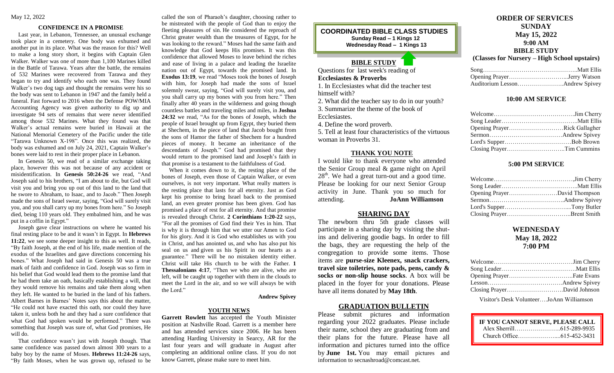#### **CONFIDENCE IN A PROMISE**

 Last year, in Lebanon, Tennessee, an unusual exchange took place in a cemetery. One body was exhumed and another put in its place. What was the reason for this? Well to make a long story short, it begins with Captain Glen Walker. Walker was one of more than 1,100 Marines killed in the Battle of Tarawa. Years after the battle, the remains of 532 Marines were recovered from Tarawa and they began to try and identify who each one was. They found Walker's two dog tags and thought the remains were his so the body was sent to Lebanon in 1947 and the family held a funeral. Fast forward to 2016 when the Defense POW/MIA Accounting Agency was given authority to dig up and investigate 94 sets of remains that were never identified among those 532 Marines. What they found was that Walker's actual remains were buried in Hawaii at the National Memorial Cemetery of the Pacific under the title "Tarawa Unknown X-198". Once this was realized, the body was exhumed and on July 24, 2021, Captain Walker's bones were laid to rest in their proper place in Lebanon.

 In Genesis 50, we read of a similar exchange taking place, however this was not because of any accident or misidentification. In **Genesis 50:24-26** we read, "And Joseph said to his brothers, "I am about to die, but God will visit you and bring you up out of this land to the land that he swore to Abraham, to Isaac, and to Jacob." Then Joseph made the sons of Israel swear, saying, "God will surely visit you, and you shall carry up my bones from here." So Joseph died, being 110 years old. They embalmed him, and he was put in a coffin in Egypt."

 Joseph gave clear instructions on where he wanted his final resting place to be and it wasn't in Egypt. In **Hebrews 11:22**, we see some deeper insight to this as well. It reads, "By faith Joseph, at the end of his life, made mention of the exodus of the Israelites and gave directions concerning his bones." What Joseph had said in Genesis 50 was a true mark of faith and confidence in God. Joseph was so firm in his belief that God would lead them to the promise land that he had them take an oath, basically establishing a will, that they would remove his remains and take them along when they left. He wanted to be buried in the land of his fathers. Albert Barnes in Barnes' Notes says this about the matter, "He could not have exacted this oath, nor could they have taken it, unless both he and they had a sure confidence that what God had spoken would be performed." There was something that Joseph was sure of, what God promises, He will do.

 That confidence wasn't just with Joseph though. That same confidence was passed down almost 300 years to a baby boy by the name of Moses. **Hebrews 11:24-26** says, "By faith Moses, when he was grown up, refused to be called the son of Pharaoh's daughter, choosing rather to be mistreated with the people of God than to enjoy the fleeting pleasures of sin. He considered the reproach of Christ greater wealth than the treasures of Egypt, for he was looking to the reward." Moses had the same faith and knowledge that God keeps His promises. It was this confidence that allowed Moses to leave behind the riches and ease of living in a palace and leading the Israelite nation out of Egypt, towards the promised land. In **Exodus 13:19**, we read "Moses took the bones of Joseph with him, for Joseph had made the sons of Israel solemnly swear, saying, "God will surely visit you, and you shall carry up my bones with you from here." Then finally after 40 years in the wilderness and going though countless battles and traveling miles and miles, in **Joshua 24:32** we read, "As for the bones of Joseph, which the people of Israel brought up from Egypt, they buried them at Shechem, in the piece of land that Jacob bought from the sons of Hamor the father of Shechem for a hundred pieces of money. It became an inheritance of the descendants of Joseph." God had promised that they would return to the promised land and Joseph's faith in that promise is a testament to the faithfulness of God.

 When it comes down to it, the resting place of the bones of Joseph, even those of Captain Walker, or even ourselves, is not very important. What really matters is the resting place that lasts for all eternity. Just as God kept his promise to bring Israel back to the promised land, an even greater promise has been given. God has promised a place of rest for all eternity. And that promise is revealed through Christ. **2 Corinthians 1:20-22** says, "For all the promises of God find their Yes in him. That is why it is through him that we utter our Amen to God for his glory. And it is God who establishes us with you in Christ, and has anointed us, and who has also put his seal on us and given us his Spirit in our hearts as a guarantee." There will be no mistaken identity either. Christ will take His church to be with the Father. **1 Thessalonians 4:17**, "Then we who are alive, who are left, will be caught up together with them in the clouds to meet the Lord in the air, and so we will always be with the Lord."

#### **Andrew Spivey**

#### **YOUTH NEWS**

**Garrett Rowlett** has accepted the Youth Minister position at Nashville Road. Garrett is a member here and has attended services since 2006. He has been attending Harding University in Searcy, AR for the last four years and will graduate in August after completing an additional online class. If you do not know Garrett, please make sure to meet him.

# **COORDINATED BIBLE CLASS STUDIES Sunday Read – 1 Kings 12 Wednesday Read – 1 Kings 13**

# **BIBLE STUDY**

Questions for last week's reading of **Ecclesiastes & Proverbs** 1. In Ecclesiastes what did the teacher test

himself with?

2. What did the teacher say to do in our youth?

3. Summarize the theme of the book of

Ecclesiastes.

4. Define the word proverb.

5. Tell at least four characteristics of the virtuous woman in Proverbs 31.

#### **THANK YOU NOTE**

I would like to thank everyone who attended the Senior Group meal & game night on April  $28<sup>th</sup>$ . We had a great turn-out and a good time. Please be looking for our next Senior Group activity in June. Thank you so much for attending. **JoAnn Williamson**

#### **SHARING DAY**

The newborn thru 5th grade classes will participate in a sharing day by visiting the shutins and delivering goodie bags. In order to fill the bags, they are requesting the help of the congregation to provide some items. Those items are **purse-size Kleenex, snack crackers, travel size toiletries, note pads, pens, candy & socks or non-slip house socks**. A box will be placed in the foyer for your donations. Please have all items donated by **May 18th**.

### **GRADUATION BULLETIN**

Please submit pictures and information regarding your 2022 graduates. Please include their name, school they are graduating from and their plans for the future. Please have all information and pictures turned into the office by **June 1st.** You may email pictures and information to secnashroad@comcast.net.

# **ORDER OF SERVICES SUNDAY May 15, 2022 9:00 AM BIBLE STUDY**

**(Classes for Nursery – High School upstairs)**

#### **10:00 AM SERVICE**

| Opening PrayerRick Gallagher |  |
|------------------------------|--|
|                              |  |
|                              |  |
| Closing PrayerTim Cummins    |  |

#### **5:00 PM SERVICE**

| Opening PrayerDavid Thompson |  |
|------------------------------|--|
|                              |  |
|                              |  |
|                              |  |

# **WEDNESDAY May 18, 2022 7:00 PM**

Visitor's Desk Volunteer….JoAnn Williamson

| IF YOU CANNOT SERVE, PLEASE CALL |  |
|----------------------------------|--|
|                                  |  |
|                                  |  |

 $\overline{a}$